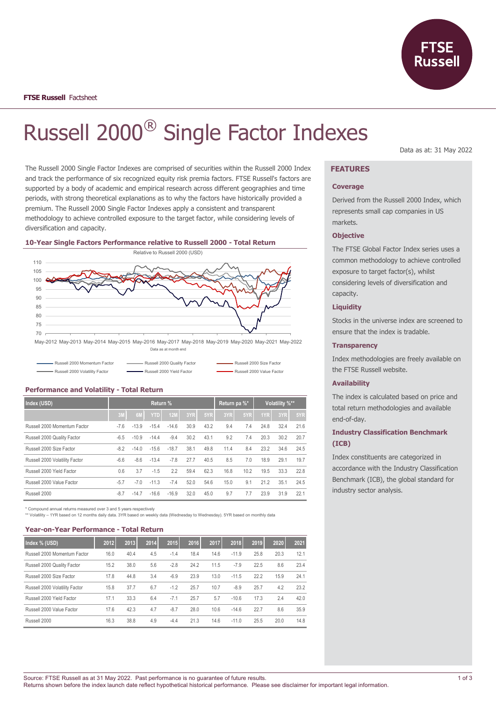

# Russell 2000® Single Factor Indexes

The Russell 2000 Single Factor Indexes are comprised of securities within the Russell 2000 Index and track the performance of six recognized equity risk premia factors. FTSE Russell's factors are supported by a body of academic and empirical research across different geographies and time periods, with strong theoretical explanations as to why the factors have historically provided a premium. The Russell 2000 Single Factor Indexes apply a consistent and transparent methodology to achieve controlled exposure to the target factor, while considering levels of diversification and capacity.





| Russell 2000 Momentum Factor   | - Russell 2000 Quality Factor | Russell 2000 Size Factor  |
|--------------------------------|-------------------------------|---------------------------|
| Russell 2000 Volatility Factor | Russell 2000 Yield Factor     | Russell 2000 Value Factor |

| Index (USD)                    |        | Return % |            |            |      |      | Return pa %* |      | Volatility %** |      |      |
|--------------------------------|--------|----------|------------|------------|------|------|--------------|------|----------------|------|------|
|                                | 3M     | 6M       | <b>YTD</b> | <b>12M</b> | 3YR  | 5YR  | 3YR          | 5YR  | 1YR            | 3YR  | 5YR  |
| Russell 2000 Momentum Factor   | $-7.6$ | $-13.9$  | $-15.4$    | $-14.6$    | 30.9 | 43.2 | 9.4          | 7.4  | 24.8           | 32.4 | 21.6 |
| Russell 2000 Quality Factor    | $-6.5$ | $-10.9$  | $-14.4$    | $-9.4$     | 30.2 | 43.1 | 9.2          | 7.4  | 20.3           | 30.2 | 20.7 |
| Russell 2000 Size Factor       | $-8.2$ | $-14.0$  | $-15.6$    | $-18.7$    | 38.1 | 49.8 | 11.4         | 8.4  | 23.2           | 34.6 | 24.5 |
| Russell 2000 Volatility Factor | $-6.6$ | $-8.6$   | $-13.4$    | $-7.8$     | 27.7 | 40.5 | 8.5          | 7.0  | 18.9           | 29.1 | 19.7 |
| Russell 2000 Yield Factor      | 0.6    | 3.7      | $-1.5$     | 2.2        | 59.4 | 62.3 | 16.8         | 10.2 | 19.5           | 33.3 | 22.8 |
| Russell 2000 Value Factor      | $-5.7$ | $-7.0$   | $-11.3$    | $-7.4$     | 52.0 | 54.6 | 15.0         | 9.1  | 21.2           | 35.1 | 24.5 |
| Russell 2000                   | $-8.7$ | $-14.7$  | $-16.6$    | $-16.9$    | 32.0 | 45.0 | 9.7          | 7.7  | 23.9           | 31.9 | 22.1 |

# **Performance and Volatility - Total Return**

\* Compound annual returns measured over 3 and 5 years respectively

\*\* Volatility – 1YR based on 12 months daily data. 3YR based on weekly data (Wednesday to Wednesday). 5YR based on monthly data

### **Year-on-Year Performance - Total Return**

| Index % (USD)                  | 2012 | 2013 | 2014 | 2015   | 2016 | 2017 | 2018    | 2019 | 2020 | 2021 |
|--------------------------------|------|------|------|--------|------|------|---------|------|------|------|
| Russell 2000 Momentum Factor   | 16.0 | 40.4 | 4.5  | $-1.4$ | 18.4 | 14.6 | $-11.9$ | 25.8 | 20.3 | 12.1 |
| Russell 2000 Quality Factor    | 15.2 | 38.0 | 5.6  | $-2.8$ | 24.2 | 11.5 | $-7.9$  | 22.5 | 8.6  | 23.4 |
| Russell 2000 Size Factor       | 17.8 | 44.8 | 3.4  | $-6.9$ | 23.9 | 13.0 | $-11.5$ | 22.2 | 15.9 | 24.1 |
| Russell 2000 Volatility Factor | 15.8 | 37.7 | 6.7  | $-1.2$ | 25.7 | 10.7 | $-8.9$  | 25.7 | 4.2  | 23.2 |
| Russell 2000 Yield Factor      | 17.1 | 33.3 | 6.4  | $-7.1$ | 25.7 | 5.7  | $-10.6$ | 17.3 | 2.4  | 42.0 |
| Russell 2000 Value Factor      | 17.6 | 42.3 | 4.7  | $-8.7$ | 28.0 | 10.6 | $-14.6$ | 22.7 | 8.6  | 35.9 |
| Russell 2000                   | 16.3 | 38.8 | 4.9  | $-4.4$ | 21.3 | 14.6 | $-11.0$ | 25.5 | 20.0 | 14.8 |

Data as at: 31 May 2022

# **FEATURES**

## **Coverage**

Derived from the Russell 2000 Index, which represents small cap companies in US markets.

#### **Objective**

The FTSE Global Factor Index series uses a common methodology to achieve controlled exposure to target factor(s), whilst considering levels of diversification and capacity.

## **Liquidity**

Stocks in the universe index are screened to ensure that the index is tradable.

## **Transparency**

Index methodologies are freely available on the FTSE Russell website.

## **Availability**

The index is calculated based on price and total return methodologies and available end-of-day.

# **Industry Classification Benchmark (ICB)**

Index constituents are categorized in accordance with the Industry Classification Benchmark (ICB), the global standard for industry sector analysis.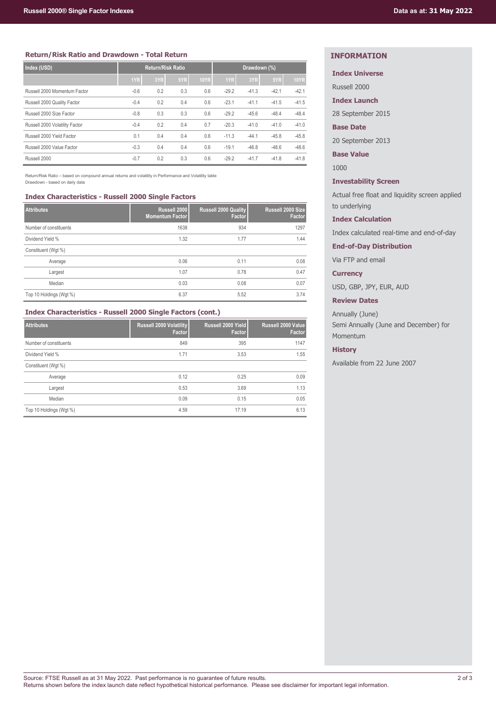# **Return/Risk Ratio and Drawdown - Total Return**

| Index (USD)                    | <b>Return/Risk Ratio</b> |     |     | Drawdown (%) |         |         |         |             |
|--------------------------------|--------------------------|-----|-----|--------------|---------|---------|---------|-------------|
|                                | 1YR                      | 3YR | 5YR | <b>10YR</b>  | 1YR     | 3YR     | 5YR     | <b>10YR</b> |
| Russell 2000 Momentum Factor   | $-0.6$                   | 0.2 | 0.3 | 0.6          | $-29.2$ | $-41.3$ | $-42.1$ | $-42.1$     |
| Russell 2000 Quality Factor    | $-0.4$                   | 0.2 | 0.4 | 0.6          | $-23.1$ | $-41.1$ | $-41.5$ | $-41.5$     |
| Russell 2000 Size Factor       | $-0.8$                   | 0.3 | 0.3 | 0.6          | $-29.2$ | $-45.6$ | $-48.4$ | $-48.4$     |
| Russell 2000 Volatility Factor | $-0.4$                   | 0.2 | 0.4 | 0.7          | $-20.3$ | $-41.0$ | $-41.0$ | $-41.0$     |
| Russell 2000 Yield Factor      | 0.1                      | 0.4 | 0.4 | 0.6          | $-11.3$ | $-44.1$ | $-45.8$ | $-45.8$     |
| Russell 2000 Value Factor      | $-0.3$                   | 0.4 | 0.4 | 0.6          | $-19.1$ | $-46.8$ | $-48.6$ | $-48.6$     |
| Russell 2000                   | $-0.7$                   | 0.2 | 0.3 | 0.6          | $-29.2$ | $-41.7$ | $-41.8$ | $-41.8$     |

Return/Risk Ratio – based on compound annual returns and volatility in Performance and Volatility table Drawdown - based on daily data

# **Index Characteristics - Russell 2000 Single Factors**

| <b>Attributes</b>       | Russell 2000<br><b>Momentum Factor</b> | <b>Russell 2000 Quality</b><br>Factor | Russell 2000 Size<br>Factor |
|-------------------------|----------------------------------------|---------------------------------------|-----------------------------|
| Number of constituents  | 1638                                   | 934                                   | 1297                        |
| Dividend Yield %        | 1.32                                   | 1.77                                  | 1.44                        |
| Constituent (Wgt %)     |                                        |                                       |                             |
| Average                 | 0.06                                   | 0.11                                  | 0.08                        |
| Largest                 | 1.07                                   | 0.78                                  | 0.47                        |
| Median                  | 0.03                                   | 0.08                                  | 0.07                        |
| Top 10 Holdings (Wgt %) | 6.37                                   | 5.52                                  | 3.74                        |

# **Index Characteristics - Russell 2000 Single Factors (cont.)**

| <b>Attributes</b>       | Russell 2000 Volatility<br>Factor | Russell 2000 Yield<br>Factor | Russell 2000 Value<br>Factor |
|-------------------------|-----------------------------------|------------------------------|------------------------------|
| Number of constituents  | 849                               | 395                          | 1147                         |
| Dividend Yield %        | 1.71                              | 3.53                         | 1.55                         |
| Constituent (Wgt %)     |                                   |                              |                              |
| Average                 | 0.12                              | 0.25                         | 0.09                         |
| Largest                 | 0.53                              | 3.69                         | 1.13                         |
| Median                  | 0.09                              | 0.15                         | 0.05                         |
| Top 10 Holdings (Wgt %) | 4.59                              | 17.19                        | 6.13                         |

# **INFORMATION**

# **Index Universe**

Russell 2000

**Index Launch**

28 September 2015

# **Base Date**

20 September 2013

**Base Value**

1000

# **Investability Screen**

Actual free float and liquidity screen applied to underlying

# **Index Calculation**

Index calculated real-time and end-of-day

**End-of-Day Distribution**

Via FTP and email

# **Currency**

USD, GBP, JPY, EUR, AUD

**Review Dates**

Annually (June) Semi Annually (June and December) for Momentum

### **History**

Available from 22 June 2007